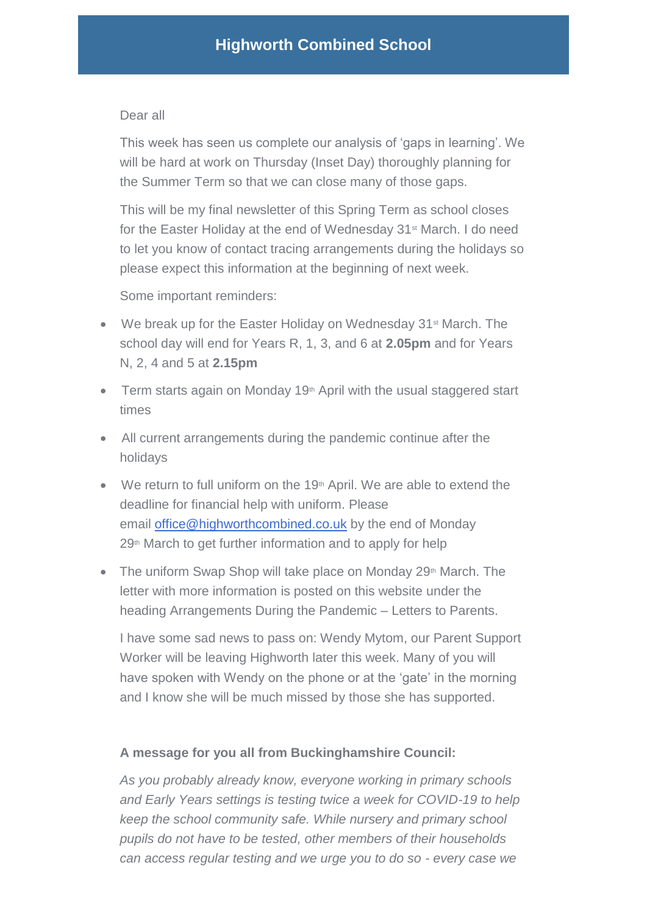## Dear all

This week has seen us complete our analysis of 'gaps in learning'. We will be hard at work on Thursday (Inset Day) thoroughly planning for the Summer Term so that we can close many of those gaps.

This will be my final newsletter of this Spring Term as school closes for the Easter Holiday at the end of Wednesday 31<sup>st</sup> March. I do need to let you know of contact tracing arrangements during the holidays so please expect this information at the beginning of next week.

Some important reminders:

- We break up for the Easter Holiday on Wednesday 31<sup>st</sup> March. The school day will end for Years R, 1, 3, and 6 at **2.05pm** and for Years N, 2, 4 and 5 at **2.15pm**
- Term starts again on Monday 19<sup>th</sup> April with the usual staggered start times
- All current arrangements during the pandemic continue after the holidays
- $\bullet$  We return to full uniform on the 19<sup>th</sup> April. We are able to extend the deadline for financial help with uniform. Please email [office@highworthcombined.co.uk](mailto:office@highworthcombined.co.uk) by the end of Monday 29th March to get further information and to apply for help
- The uniform Swap Shop will take place on Monday  $29<sup>th</sup>$  March. The letter with more information is posted on this website under the heading Arrangements During the Pandemic – Letters to Parents.

I have some sad news to pass on: Wendy Mytom, our Parent Support Worker will be leaving Highworth later this week. Many of you will have spoken with Wendy on the phone or at the 'gate' in the morning and I know she will be much missed by those she has supported.

## **A message for you all from Buckinghamshire Council:**

*As you probably already know, everyone working in primary schools and Early Years settings is testing twice a week for COVID-19 to help keep the school community safe. While nursery and primary school pupils do not have to be tested, other members of their households can access regular testing and we urge you to do so - every case we*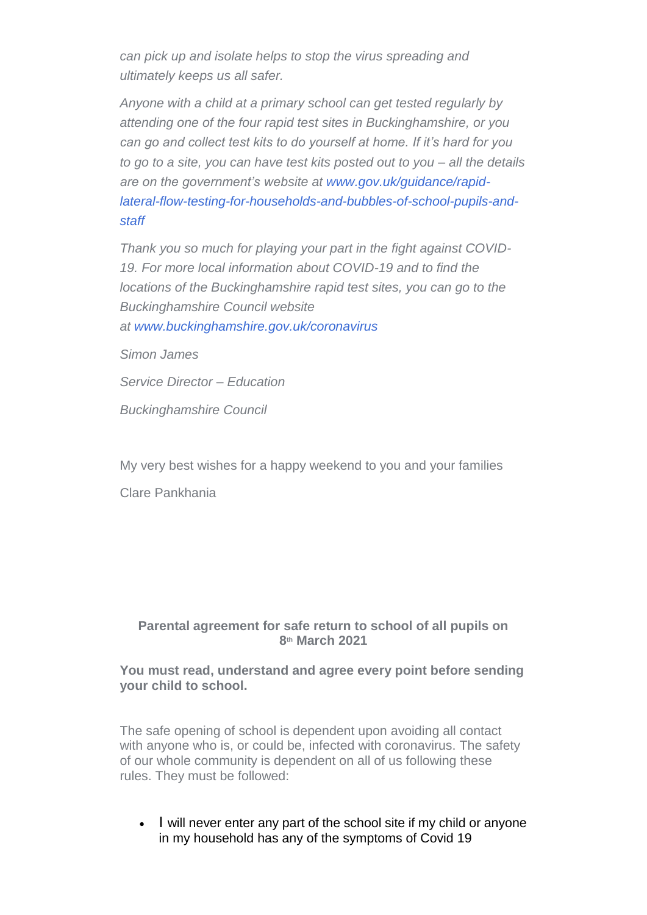*can pick up and isolate helps to stop the virus spreading and ultimately keeps us all safer.*

*Anyone with a child at a primary school can get tested regularly by attending one of the four rapid test sites in Buckinghamshire, or you can go and collect test kits to do yourself at home. If it's hard for you to go to a site, you can have test kits posted out to you – all the details are on the government's website at [www.gov.uk/guidance/rapid](http://www.gov.uk/guidance/rapid-lateral-flow-testing-for-households-and-bubbles-of-school-pupils-and-staff)[lateral-flow-testing-for-households-and-bubbles-of-school-pupils-and](http://www.gov.uk/guidance/rapid-lateral-flow-testing-for-households-and-bubbles-of-school-pupils-and-staff)[staff](http://www.gov.uk/guidance/rapid-lateral-flow-testing-for-households-and-bubbles-of-school-pupils-and-staff)*

*Thank you so much for playing your part in the fight against COVID-19. For more local information about COVID-19 and to find the locations of the Buckinghamshire rapid test sites, you can go to the Buckinghamshire Council website at [www.buckinghamshire.gov.uk/coronavirus](http://www.buckinghamshire.gov.uk/coronavirus)*

*Simon James*

*Service Director – Education*

*Buckinghamshire Council*

My very best wishes for a happy weekend to you and your families

Clare Pankhania

## **Parental agreement for safe return to school of all pupils on 8th March 2021**

## **You must read, understand and agree every point before sending your child to school.**

The safe opening of school is dependent upon avoiding all contact with anyone who is, or could be, infected with coronavirus. The safety of our whole community is dependent on all of us following these rules. They must be followed:

• I will never enter any part of the school site if my child or anyone in my household has any of the symptoms of Covid 19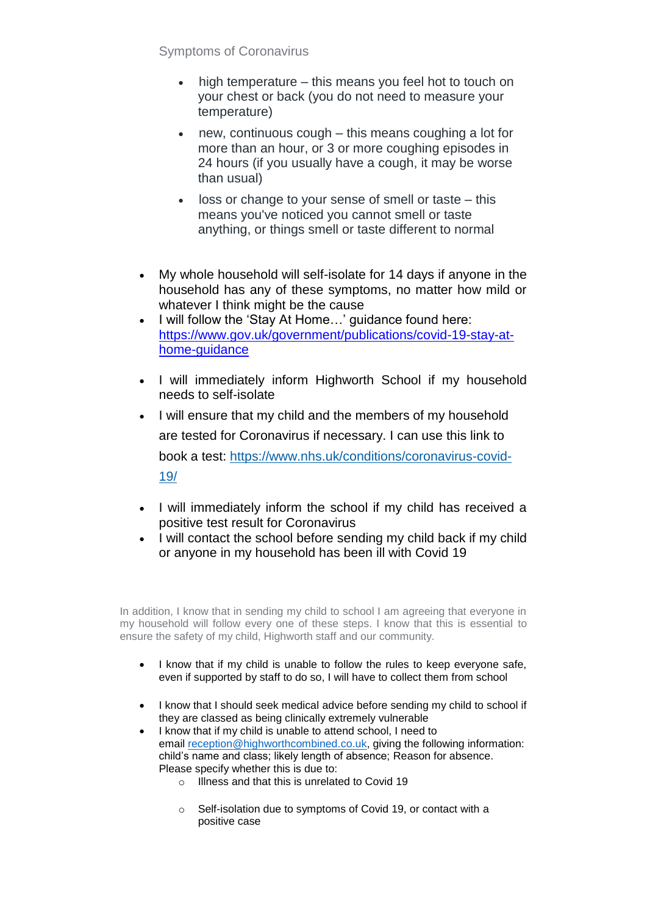Symptoms of Coronavirus

- high temperature this means you feel hot to touch on your chest or back (you do not need to measure your temperature)
- new, continuous cough this means coughing a lot for more than an hour, or 3 or more coughing episodes in 24 hours (if you usually have a cough, it may be worse than usual)
- loss or change to your sense of smell or taste this means you've noticed you cannot smell or taste anything, or things smell or taste different to normal
- My whole household will self-isolate for 14 days if anyone in the household has any of these symptoms, no matter how mild or whatever I think might be the cause
- I will follow the 'Stay At Home…' guidance found here: [https://www.gov.uk/government/publications/covid-19-stay-at](https://www.gov.uk/government/publications/covid-19-stay-at-home-guidance)[home-guidance](https://www.gov.uk/government/publications/covid-19-stay-at-home-guidance)
- I will immediately inform Highworth School if my household needs to self-isolate
- I will ensure that my child and the members of my household are tested for Coronavirus if necessary. I can use this link to book a test: [https://www.nhs.uk/conditions/coronavirus-covid-](https://www.nhs.uk/conditions/coronavirus-covid-19/)[19/](https://www.nhs.uk/conditions/coronavirus-covid-19/)
- I will immediately inform the school if my child has received a positive test result for Coronavirus
- I will contact the school before sending my child back if my child or anyone in my household has been ill with Covid 19

In addition, I know that in sending my child to school I am agreeing that everyone in my household will follow every one of these steps. I know that this is essential to ensure the safety of my child, Highworth staff and our community.

- I know that if my child is unable to follow the rules to keep everyone safe, even if supported by staff to do so, I will have to collect them from school
- I know that I should seek medical advice before sending my child to school if they are classed as being clinically extremely vulnerable
- I know that if my child is unable to attend school, I need to email [reception@highworthcombined.co.uk,](mailto:reception@highworthcombined.co.uk) giving the following information: child's name and class; likely length of absence; Reason for absence. Please specify whether this is due to:
	- o Illness and that this is unrelated to Covid 19
	- o Self-isolation due to symptoms of Covid 19, or contact with a positive case